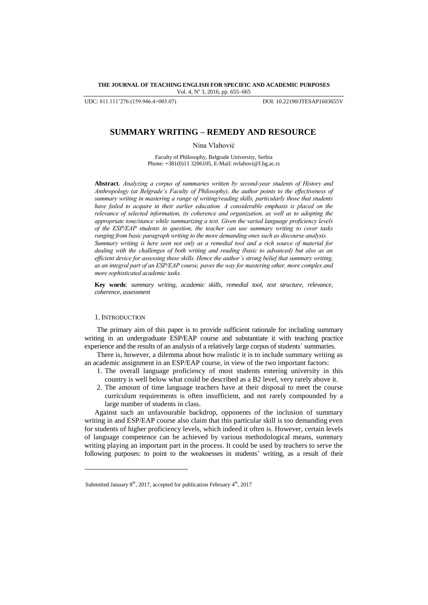## **THE JOURNAL OF TEACHING ENGLISH FOR SPECIFIC AND ACADEMIC PURPOSES** Vol. 4, Nº 3, 2016, pp. 655-665

UDC: 811.111'276:(159.946.4+003.07) DOI: 10.22190/JTESAP1603655V

# **SUMMARY WRITING – REMEDY AND RESOURCE**

Nina Vlahović

Faculty of Philosophy, Belgrade University, Serbia Phone: +381(0)11 3206105, E-Mail: nvlaho[vi@f.bg.ac.rs](mailto:shamala@upm.edu.my)

**Abstract***. Analyzing a corpus of summaries written by second-year students of History and Anthropology (at Belgrade's Faculty of Philosophy), the author points to the effectiveness of summary writing in mastering a range of writing/reading skills, particularly those that students have failed to acquire in their earlier education. A considerable emphasis is placed on the relevance of selected information, its coherence and organization, as well as to adopting the appropriate tone/stance while summarizing a text. Given the varied language proficiency levels of the ESP/EAP students in question, the teacher can use summary writing to cover tasks ranging from basic paragraph writing to the more demanding ones such as discourse analysis. Summary writing is here seen not only as a remedial tool and a rich source of material for dealing with the challenges of both writing and reading (basic to advanced) but also as an efficient device for assessing these skills. Hence the author`s strong belief that summary writing, as an integral part of an ESP/EAP course, paves the way for mastering other, more complex and more sophisticated academic tasks.*

**Key words**: *summary writing, academic skills, remedial tool, text structure, relevance, coherence, assessment*

# 1. INTRODUCTION

l

The primary aim of this paper is to provide sufficient rationale for including summary writing in an undergraduate ESP/EAP course and substantiate it with teaching practice experience and the results of an analysis of a relatively large corpus of students` summaries.

There is, however, a dilemma about how realistic it is to include summary writing as an academic assignment in an ESP/EAP course, in view of the two important factors:

- 1. The overall language proficiency of most students entering university in this country is well below what could be described as a B2 level, very rarely above it.
- 2. The amount of time language teachers have at their disposal to meet the course curriculum requirements is often insufficient, and not rarely compounded by a large number of students in class.

Against such an unfavourable backdrop, opponents of the inclusion of summary writing in and ESP/EAP course also claim that this particular skill is too demanding even for students of higher proficiency levels, which indeed it often is. However, certain levels of language competence can be achieved by various methodological means, summary writing playing an important part in the process. It could be used by teachers to serve the following purposes: to point to the weaknesses in students' writing, as a result of their

Submitted January  $8<sup>th</sup>$ , 2017, accepted for publication February  $4<sup>th</sup>$ , 2017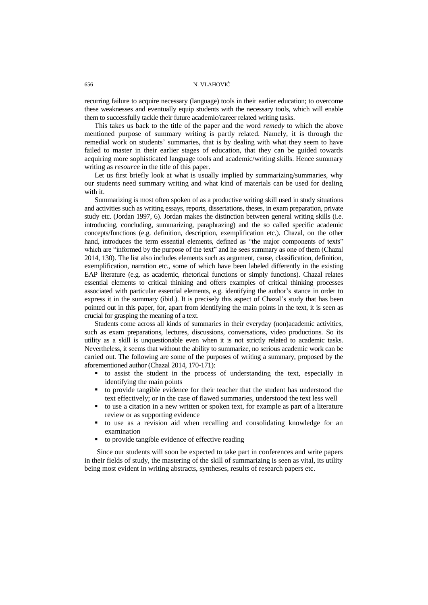recurring failure to acquire necessary (language) tools in their earlier education; to overcome these weaknesses and eventually equip students with the necessary tools, which will enable them to successfully tackle their future academic/career related writing tasks.

This takes us back to the title of the paper and the word *remedy* to which the above mentioned purpose of summary writing is partly related. Namely, it is through the remedial work on students' summaries, that is by dealing with what they seem to have failed to master in their earlier stages of education, that they can be guided towards acquiring more sophisticated language tools and academic/writing skills. Hence summary writing as *resource* in the title of this paper.

Let us first briefly look at what is usually implied by summarizing/summaries, why our students need summary writing and what kind of materials can be used for dealing with it.

Summarizing is most often spoken of as a productive writing skill used in study situations and activities such as writing essays, reports, dissertations, theses, in exam preparation, private study etc. (Jordan 1997, 6). Jordan makes the distinction between general writing skills (i.e. introducing, concluding, summarizing, paraphrazing) and the so called specific academic concepts/functions (e.g. definition, description, exemplification etc.). Chazal, on the other hand, introduces the term essential elements, defined as "the major components of texts" which are "informed by the purpose of the text" and he sees summary as one of them (Chazal 2014, 130). The list also includes elements such as argument, cause, classification, definition, exemplification, narration etc., some of which have been labeled differently in the existing EAP literature (e.g. as academic, rhetorical functions or simply functions). Chazal relates essential elements to critical thinking and offers examples of critical thinking processes associated with particular essential elements, e.g. identifying the author's stance in order to express it in the summary (ibid.). It is precisely this aspect of Chazal's study that has been pointed out in this paper, for, apart from identifying the main points in the text, it is seen as crucial for grasping the meaning of a text.

Students come across all kinds of summaries in their everyday (non)academic activities, such as exam preparations, lectures, discussions, conversations, video productions. So its utility as a skill is unquestionable even when it is not strictly related to academic tasks. Nevertheless, it seems that without the ability to summarize, no serious academic work can be carried out. The following are some of the purposes of writing a summary, proposed by the aforementioned author (Chazal 2014, 170-171):

- to assist the student in the process of understanding the text, especially in identifying the main points
- to provide tangible evidence for their teacher that the student has understood the text effectively; or in the case of flawed summaries, understood the text less well
- to use a citation in a new written or spoken text, for example as part of a literature review or as supporting evidence
- to use as a revision aid when recalling and consolidating knowledge for an examination
- to provide tangible evidence of effective reading

Since our students will soon be expected to take part in conferences and write papers in their fields of study, the mastering of the skill of summarizing is seen as vital, its utility being most evident in writing abstracts, syntheses, results of research papers etc.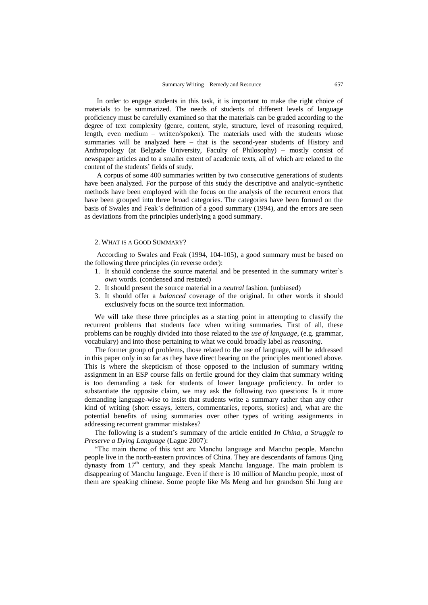In order to engage students in this task, it is important to make the right choice of materials to be summarized. The needs of students of different levels of language proficiency must be carefully examined so that the materials can be graded according to the degree of text complexity (genre, content, style, structure, level of reasoning required, length, even medium – written/spoken). The materials used with the students whose summaries will be analyzed here – that is the second-year students of History and Anthropology (at Belgrade University, Faculty of Philosophy) – mostly consist of newspaper articles and to a smaller extent of academic texts, all of which are related to the content of the students' fields of study.

A corpus of some 400 summaries written by two consecutive generations of students have been analyzed. For the purpose of this study the descriptive and analytic-synthetic methods have been employed with the focus on the analysis of the recurrent errors that have been grouped into three broad categories. The categories have been formed on the basis of Swales and Feak"s definition of a good summary (1994), and the errors are seen as deviations from the principles underlying a good summary.

# 2. WHAT IS A GOOD SUMMARY?

According to Swales and Feak (1994, 104-105), a good summary must be based on the following three principles (in reverse order):

- 1. It should condense the source material and be presented in the summary writer`s *own* words. (condensed and restated)
- 2. It should present the source material in a *neutral* fashion. (unbiased)
- 3. It should offer a *balanced* coverage of the original. In other words it should exclusively focus on the source text information.

We will take these three principles as a starting point in attempting to classify the recurrent problems that students face when writing summaries. First of all, these problems can be roughly divided into those related to the *use of language*, (e.g. grammar, vocabulary) and into those pertaining to what we could broadly label as *reasoning*.

The former group of problems, those related to the use of language, will be addressed in this paper only in so far as they have direct bearing on the principles mentioned above. This is where the skepticism of those opposed to the inclusion of summary writing assignment in an ESP course falls on fertile ground for they claim that summary writing is too demanding a task for students of lower language proficiency. In order to substantiate the opposite claim, we may ask the following two questions: Is it more demanding language-wise to insist that students write a summary rather than any other kind of writing (short essays, letters, commentaries, reports, stories) and, what are the potential benefits of using summaries over other types of writing assignments in addressing recurrent grammar mistakes?

The following is a student"s summary of the article entitled *In China, a Struggle to Preserve a Dying Language* (Lague 2007):

"The main theme of this text are Manchu language and Manchu people. Manchu people live in the north-eastern provinces of China. They are descendants of famous Qing dynasty from  $17<sup>th</sup>$  century, and they speak Manchu language. The main problem is disappearing of Manchu language. Even if there is 10 million of Manchu people, most of them are speaking chinese. Some people like Ms Meng and her grandson Shi Jung are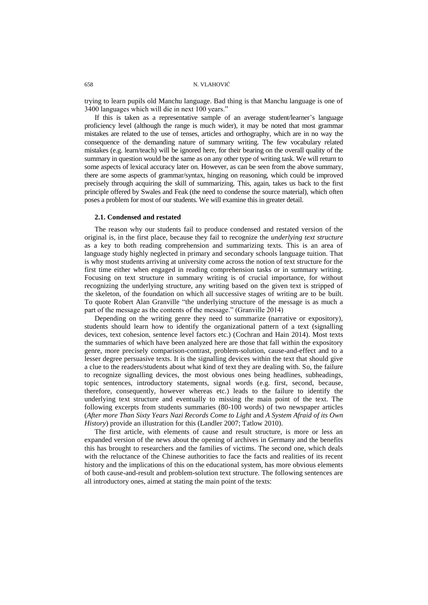trying to learn pupils old Manchu language. Bad thing is that Manchu language is one of 3400 languages which will die in next 100 years."

If this is taken as a representative sample of an average student/learner"s language proficiency level (although the range is much wider), it may be noted that most grammar mistakes are related to the use of tenses, articles and orthography, which are in no way the consequence of the demanding nature of summary writing. The few vocabulary related mistakes (e.g. learn/teach) will be ignored here, for their bearing on the overall quality of the summary in question would be the same as on any other type of writing task. We will return to some aspects of lexical accuracy later on. However, as can be seen from the above summary, there are some aspects of grammar/syntax, hinging on reasoning, which could be improved precisely through acquiring the skill of summarizing. This, again, takes us back to the first principle offered by Swales and Feak (the need to condense the source material), which often poses a problem for most of our students. We will examine this in greater detail.

#### **2.1. Condensed and restated**

The reason why our students fail to produce condensed and restated version of the original is, in the first place, because they fail to recognize the *underlying text structure* as a key to both reading comprehension and summarizing texts. This is an area of language study highly neglected in primary and secondary schools language tuition. That is why most students arriving at university come across the notion of text structure for the first time either when engaged in reading comprehension tasks or in summary writing. Focusing on text structure in summary writing is of crucial importance, for without recognizing the underlying structure, any writing based on the given text is stripped of the skeleton, of the foundation on which all successive stages of writing are to be built. To quote Robert Alan Granville "the underlying structure of the message is as much a part of the message as the contents of the message." (Granville 2014)

Depending on the writing genre they need to summarize (narrative or expository), students should learn how to identify the organizational pattern of a text (signalling devices, text cohesion, sentence level factors etc.) (Cochran and Hain 2014). Most texts the summaries of which have been analyzed here are those that fall within the expository genre, more precisely comparison-contrast, problem-solution, cause-and-effect and to a lesser degree persuasive texts. It is the signalling devices within the text that should give a clue to the readers/students about what kind of text they are dealing with. So, the failure to recognize signalling devices, the most obvious ones being headlines, subheadings, topic sentences, introductory statements, signal words (e.g. first, second, because, therefore, consequently, however whereas etc.) leads to the failure to identify the underlying text structure and eventually to missing the main point of the text. The following excerpts from students summaries (80-100 words) of two newspaper articles (*After more Than Sixty Years Nazi Records Come to Light* and *A System Afraid of its Own History*) provide an illustration for this (Landler 2007; Tatlow 2010).

The first article, with elements of cause and result structure, is more or less an expanded version of the news about the opening of archives in Germany and the benefits this has brought to researchers and the families of victims. The second one, which deals with the reluctance of the Chinese authorities to face the facts and realities of its recent history and the implications of this on the educational system, has more obvious elements of both cause-and-result and problem-solution text structure. The following sentences are all introductory ones, aimed at stating the main point of the texts: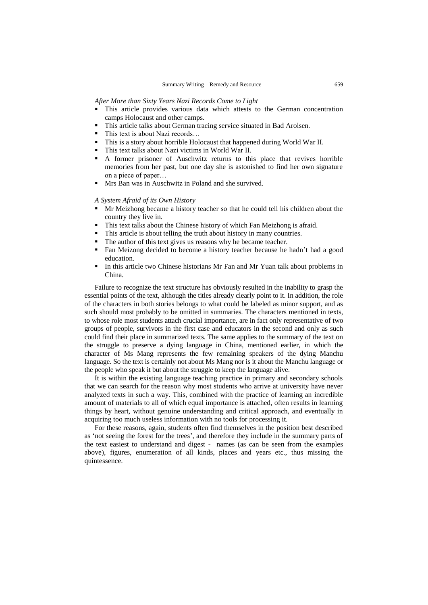*After More than Sixty Years Nazi Records Come to Light*

- This article provides various data which attests to the German concentration camps Holocaust and other camps.
- This article talks about German tracing service situated in Bad Arolsen.
- This text is about Nazi records…
- This is a story about horrible Holocaust that happened during World War II.
- This text talks about Nazi victims in World War II.
- A former prisoner of Auschwitz returns to this place that revives horrible memories from her past, but one day she is astonished to find her own signature on a piece of paper…
- Mrs Ban was in Auschwitz in Poland and she survived.

# *A System Afraid of its Own History*

- Mr Meizhong became a history teacher so that he could tell his children about the country they live in.
- This text talks about the Chinese history of which Fan Meizhong is afraid.
- This article is about telling the truth about history in many countries.
- The author of this text gives us reasons why he became teacher.
- Fan Meizong decided to become a history teacher because he hadn"t had a good education.
- In this article two Chinese historians Mr Fan and Mr Yuan talk about problems in China.

Failure to recognize the text structure has obviously resulted in the inability to grasp the essential points of the text, although the titles already clearly point to it. In addition, the role of the characters in both stories belongs to what could be labeled as minor support, and as such should most probably to be omitted in summaries. The characters mentioned in texts, to whose role most students attach crucial importance, are in fact only representative of two groups of people, survivors in the first case and educators in the second and only as such could find their place in summarized texts. The same applies to the summary of the text on the struggle to preserve a dying language in China, mentioned earlier, in which the character of Ms Mang represents the few remaining speakers of the dying Manchu language. So the text is certainly not about Ms Mang nor is it about the Manchu language or the people who speak it but about the struggle to keep the language alive.

It is within the existing language teaching practice in primary and secondary schools that we can search for the reason why most students who arrive at university have never analyzed texts in such a way. This, combined with the practice of learning an incredible amount of materials to all of which equal importance is attached, often results in learning things by heart, without genuine understanding and critical approach, and eventually in acquiring too much useless information with no tools for processing it.

For these reasons, again, students often find themselves in the position best described as 'not seeing the forest for the trees', and therefore they include in the summary parts of the text easiest to understand and digest - names (as can be seen from the examples above), figures, enumeration of all kinds, places and years etc., thus missing the quintessence.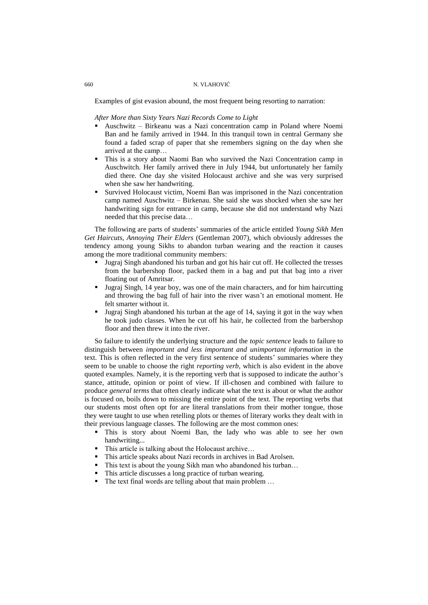Examples of gist evasion abound, the most frequent being resorting to narration:

#### *After More than Sixty Years Nazi Records Come to Light*

- Auschwitz Birkeanu was a Nazi concentration camp in Poland where Noemi Ban and he family arrived in 1944. In this tranquil town in central Germany she found a faded scrap of paper that she remembers signing on the day when she arrived at the camp…
- This is a story about Naomi Ban who survived the Nazi Concentration camp in Auschwitch. Her family arrived there in July 1944, but unfortunately her family died there. One day she visited Holocaust archive and she was very surprised when she saw her handwriting.
- Survived Holocaust victim, Noemi Ban was imprisoned in the Nazi concentration camp named Auschwitz – Birkenau. She said she was shocked when she saw her handwriting sign for entrance in camp, because she did not understand why Nazi needed that this precise data…

The following are parts of students" summaries of the article entitled *Young Sikh Men Get Haircuts, Annoying Their Elders* (Gentleman 2007), which obviously addresses the tendency among young Sikhs to abandon turban wearing and the reaction it causes among the more traditional community members:

- Jugraj Singh abandoned his turban and got his hair cut off. He collected the tresses from the barbershop floor, packed them in a bag and put that bag into a river floating out of Amritsar.
- Jugraj Singh, 14 year boy, was one of the main characters, and for him haircutting and throwing the bag full of hair into the river wasn't an emotional moment. He felt smarter without it.
- Jugraj Singh abandoned his turban at the age of 14, saying it got in the way when he took judo classes. When he cut off his hair, he collected from the barbershop floor and then threw it into the river.

So failure to identify the underlying structure and the *topic sentence* leads to failure to distinguish between *important and less important and unimportant information* in the text. This is often reflected in the very first sentence of students" summaries where they seem to be unable to choose the right *reporting verb*, which is also evident in the above quoted examples. Namely, it is the reporting verb that is supposed to indicate the author"s stance, attitude, opinion or point of view. If ill-chosen and combined with failure to produce *general terms* that often clearly indicate what the text is about or what the author is focused on, boils down to missing the entire point of the text. The reporting verbs that our students most often opt for are literal translations from their mother tongue, those they were taught to use when retelling plots or themes of literary works they dealt with in their previous language classes. The following are the most common ones:

- This is story about Noemi Ban, the lady who was able to see her own handwriting...
- This article is talking about the Holocaust archive…
- This article speaks about Nazi records in archives in Bad Arolsen.
- This text is about the young Sikh man who abandoned his turban…
- This article discusses a long practice of turban wearing.
- The text final words are telling about that main problem ...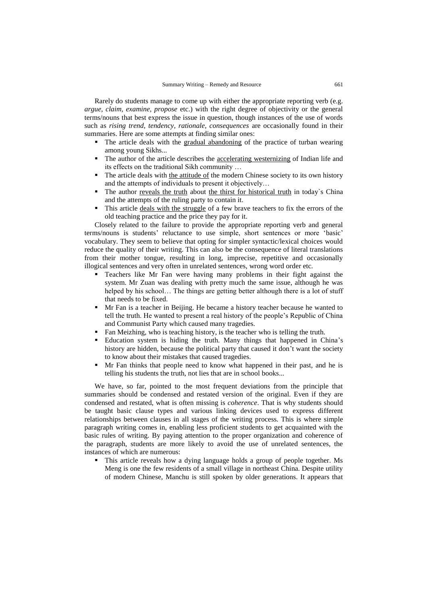Rarely do students manage to come up with either the appropriate reporting verb (e.g. *argue, claim, examine, propose* etc.) with the right degree of objectivity or the general terms/nouns that best express the issue in question, though instances of the use of words such as *rising trend, tendency, rationale, consequences* are occasionally found in their summaries. Here are some attempts at finding similar ones:

- The article deals with the gradual abandoning of the practice of turban wearing among young Sikhs...
- The author of the article describes the <u>accelerating westernizing</u> of Indian life and its effects on the traditional Sikh community …
- The article deals with the attitude of the modern Chinese society to its own history and the attempts of individuals to present it objectively…
- The author reveals the truth about the thirst for historical truth in today`s China and the attempts of the ruling party to contain it.
- This article deals with the struggle of a few brave teachers to fix the errors of the old teaching practice and the price they pay for it.

Closely related to the failure to provide the appropriate reporting verb and general terms/nouns is students' reluctance to use simple, short sentences or more 'basic' vocabulary. They seem to believe that opting for simpler syntactic/lexical choices would reduce the quality of their writing. This can also be the consequence of literal translations from their mother tongue, resulting in long, imprecise, repetitive and occasionally illogical sentences and very often in unrelated sentences, wrong word order etc.

- Teachers like Mr Fan were having many problems in their fight against the system. Mr Zuan was dealing with pretty much the same issue, although he was helped by his school… The things are getting better although there is a lot of stuff that needs to be fixed.
- Mr Fan is a teacher in Beijing. He became a history teacher because he wanted to tell the truth. He wanted to present a real history of the people"s Republic of China and Communist Party which caused many tragedies.
- Fan Meizhing, who is teaching history, is the teacher who is telling the truth.
- Education system is hiding the truth. Many things that happened in China"s history are hidden, because the political party that caused it don"t want the society to know about their mistakes that caused tragedies.
- Mr Fan thinks that people need to know what happened in their past, and he is telling his students the truth, not lies that are in school books...

We have, so far, pointed to the most frequent deviations from the principle that summaries should be condensed and restated version of the original. Even if they are condensed and restated, what is often missing is *coherence*. That is why students should be taught basic clause types and various linking devices used to express different relationships between clauses in all stages of the writing process. This is where simple paragraph writing comes in, enabling less proficient students to get acquainted with the basic rules of writing. By paying attention to the proper organization and coherence of the paragraph, students are more likely to avoid the use of unrelated sentences, the instances of which are numerous:

 This article reveals how a dying language holds a group of people together. Ms Meng is one the few residents of a small village in northeast China. Despite utility of modern Chinese, Manchu is still spoken by older generations. It appears that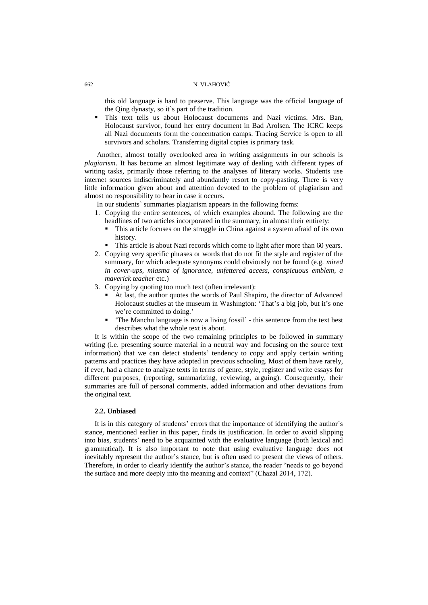this old language is hard to preserve. This language was the official language of the Qing dynasty, so it`s part of the tradition.

 This text tells us about Holocaust documents and Nazi victims. Mrs. Ban, Holocaust survivor, found her entry document in Bad Arolsen. The ICRC keeps all Nazi documents form the concentration camps. Tracing Service is open to all survivors and scholars. Transferring digital copies is primary task.

Another, almost totally overlooked area in writing assignments in our schools is *plagiarism*. It has become an almost legitimate way of dealing with different types of writing tasks, primarily those referring to the analyses of literary works. Students use internet sources indiscriminately and abundantly resort to copy-pasting. There is very little information given about and attention devoted to the problem of plagiarism and almost no responsibility to bear in case it occurs.

In our students` summaries plagiarism appears in the following forms:

- 1. Copying the entire sentences, of which examples abound. The following are the headlines of two articles incorporated in the summary, in almost their entirety:
	- This article focuses on the struggle in China against a system afraid of its own history.
	- This article is about Nazi records which come to light after more than 60 years.
- 2. Copying very specific phrases or words that do not fit the style and register of the summary, for which adequate synonyms could obviously not be found (e.g. *mired in cover-ups, miasma of ignorance, unfettered access, conspicuous emblem, a maverick teacher* etc.)
- 3. Copying by quoting too much text (often irrelevant):
	- At last, the author quotes the words of Paul Shapiro, the director of Advanced Holocaust studies at the museum in Washington: 'That's a big job, but it's one we're committed to doing.'
	- "The Manchu language is now a living fossil" this sentence from the text best describes what the whole text is about.

It is within the scope of the two remaining principles to be followed in summary writing (i.e. presenting source material in a neutral way and focusing on the source text information) that we can detect students" tendency to copy and apply certain writing patterns and practices they have adopted in previous schooling. Most of them have rarely, if ever, had a chance to analyze texts in terms of genre, style, register and write essays for different purposes, (reporting, summarizing, reviewing, arguing). Consequently, their summaries are full of personal comments, added information and other deviations from the original text.

# **2.2. Unbiased**

It is in this category of students' errors that the importance of identifying the author's stance, mentioned earlier in this paper, finds its justification. In order to avoid slipping into bias, students" need to be acquainted with the evaluative language (both lexical and grammatical). It is also important to note that using evaluative language does not inevitably represent the author's stance, but is often used to present the views of others. Therefore, in order to clearly identify the author's stance, the reader "needs to go beyond the surface and more deeply into the meaning and context" (Chazal 2014, 172).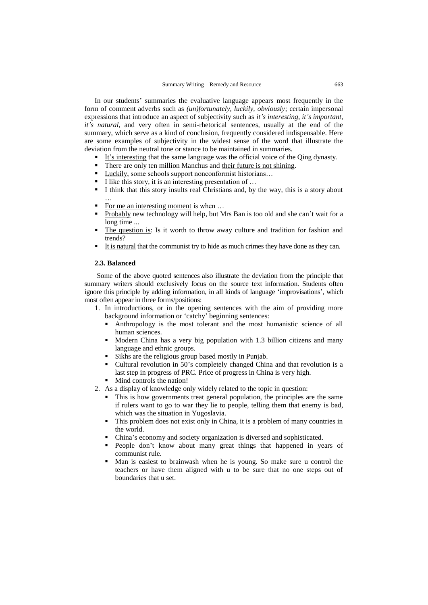In our students" summaries the evaluative language appears most frequently in the form of comment adverbs such as *(un)fortunately, luckily, obviously*; certain impersonal expressions that introduce an aspect of subjectivity such as *it's interesting, it's important, it's natural*, and very often in semi-rhetorical sentences, usually at the end of the summary, which serve as a kind of conclusion, frequently considered indispensable. Here are some examples of subjectivity in the widest sense of the word that illustrate the deviation from the neutral tone or stance to be maintained in summaries.

- It's interesting that the same language was the official voice of the Oing dynasty.
- There are only ten million Manchus and their future is not shining.
- Luckily, some schools support nonconformist historians…
- I like this story, it is an interesting presentation of …
- I think that this story insults real Christians and, by the way, this is a story about
- For me an interesting moment is when ...
- Probably new technology will help, but Mrs Ban is too old and she can't wait for a long time ...
- The question is: Is it worth to throw away culture and tradition for fashion and trends?
- It is natural that the communist try to hide as much crimes they have done as they can.

# **2.3. Balanced**

…

Some of the above quoted sentences also illustrate the deviation from the principle that summary writers should exclusively focus on the source text information. Students often ignore this principle by adding information, in all kinds of language "improvisations", which most often appear in three forms/positions:

- 1. In introductions, or in the opening sentences with the aim of providing more background information or "catchy" beginning sentences:
	- Anthropology is the most tolerant and the most humanistic science of all human sciences.
	- Modern China has a very big population with 1.3 billion citizens and many language and ethnic groups.
	- Sikhs are the religious group based mostly in Punjab.
	- Cultural revolution in 50"s completely changed China and that revolution is a last step in progress of PRC. Price of progress in China is very high.
	- Mind controls the nation!
- 2. As a display of knowledge only widely related to the topic in question:
	- This is how governments treat general population, the principles are the same if rulers want to go to war they lie to people, telling them that enemy is bad, which was the situation in Yugoslavia.
	- This problem does not exist only in China, it is a problem of many countries in the world.
	- China"s economy and society organization is diversed and sophisticated.
	- People don't know about many great things that happened in years of communist rule.
	- Man is easiest to brainwash when he is young. So make sure u control the teachers or have them aligned with u to be sure that no one steps out of boundaries that u set.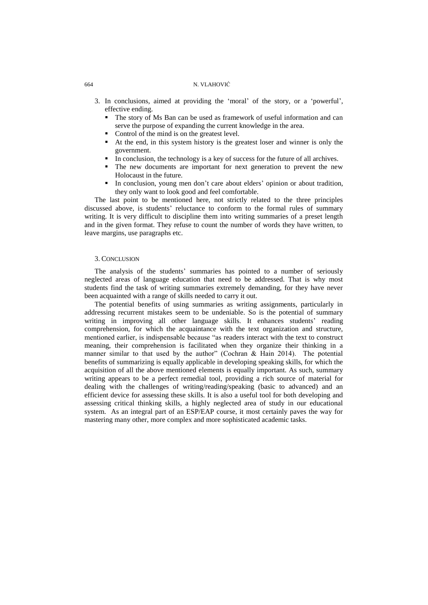- 3. In conclusions, aimed at providing the "moral" of the story, or a "powerful", effective ending.
	- The story of Ms Ban can be used as framework of useful information and can serve the purpose of expanding the current knowledge in the area.
	- Control of the mind is on the greatest level.
	- At the end, in this system history is the greatest loser and winner is only the government.
	- In conclusion, the technology is a key of success for the future of all archives.
	- The new documents are important for next generation to prevent the new Holocaust in the future.
	- In conclusion, young men don't care about elders' opinion or about tradition, they only want to look good and feel comfortable.

The last point to be mentioned here, not strictly related to the three principles discussed above, is students' reluctance to conform to the formal rules of summary writing. It is very difficult to discipline them into writing summaries of a preset length and in the given format. They refuse to count the number of words they have written, to leave margins, use paragraphs etc.

# 3. CONCLUSION

The analysis of the students' summaries has pointed to a number of seriously neglected areas of language education that need to be addressed. That is why most students find the task of writing summaries extremely demanding, for they have never been acquainted with a range of skills needed to carry it out.

The potential benefits of using summaries as writing assignments, particularly in addressing recurrent mistakes seem to be undeniable. So is the potential of summary writing in improving all other language skills. It enhances students' reading comprehension, for which the acquaintance with the text organization and structure, mentioned earlier, is indispensable because "as readers interact with the text to construct meaning, their comprehension is facilitated when they organize their thinking in a manner similar to that used by the author" (Cochran & Hain 2014). The potential benefits of summarizing is equally applicable in developing speaking skills, for which the acquisition of all the above mentioned elements is equally important. As such, summary writing appears to be a perfect remedial tool, providing a rich source of material for dealing with the challenges of writing/reading/speaking (basic to advanced) and an efficient device for assessing these skills. It is also a useful tool for both developing and assessing critical thinking skills, a highly neglected area of study in our educational system. As an integral part of an ESP/EAP course, it most certainly paves the way for mastering many other, more complex and more sophisticated academic tasks.